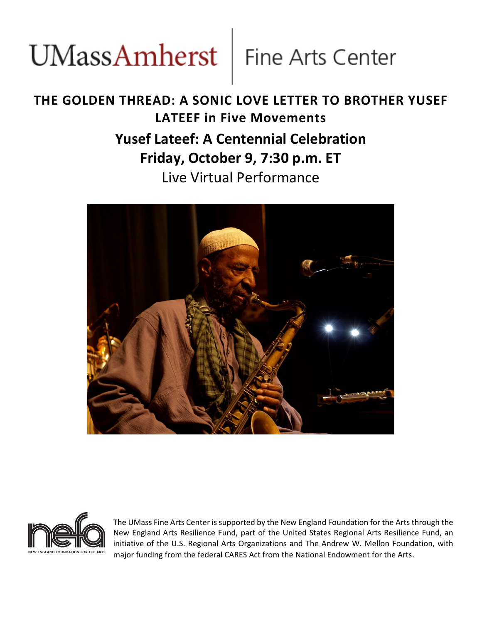# UMassAmherst Fine Arts Center

## **THE GOLDEN THREAD: A SONIC LOVE LETTER TO BROTHER YUSEF LATEEF in Five Movements Yusef Lateef: A Centennial Celebration Friday, October 9, 7:30 p.m. ET** Live Virtual Performance





The UMass Fine Arts Center is supported by the New England Foundation for the Arts through the New England Arts Resilience Fund, part of the United States Regional Arts Resilience Fund, an initiative of the U.S. Regional Arts Organizations and The Andrew W. Mellon Foundation, with major funding from the federal CARES Act from the National Endowment for the Arts.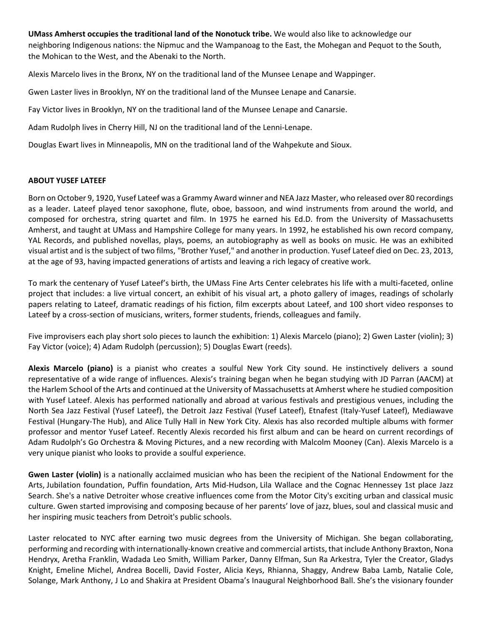**UMass Amherst occupies the traditional land of the Nonotuck tribe.** We would also like to acknowledge our neighboring Indigenous nations: the Nipmuc and the Wampanoag to the East, the Mohegan and Pequot to the South, the Mohican to the West, and the Abenaki to the North.

Alexis Marcelo lives in the Bronx, NY on the traditional land of the Munsee Lenape and Wappinger.

Gwen Laster lives in Brooklyn, NY on the traditional land of the Munsee Lenape and Canarsie.

Fay Victor lives in Brooklyn, NY on the traditional land of the Munsee Lenape and Canarsie.

Adam Rudolph lives in Cherry Hill, NJ on the traditional land of the Lenni‐Lenape.

Douglas Ewart lives in Minneapolis, MN on the traditional land of the Wahpekute and Sioux.

#### **ABOUT YUSEF LATEEF**

Born on October 9, 1920, Yusef Lateef was a Grammy Award winner and NEA Jazz Master, who released over 80 recordings as a leader. Lateef played tenor saxophone, flute, oboe, bassoon, and wind instruments from around the world, and composed for orchestra, string quartet and film. In 1975 he earned his Ed.D. from the University of Massachusetts Amherst, and taught at UMass and Hampshire College for many years. In 1992, he established his own record company, YAL Records, and published novellas, plays, poems, an autobiography as well as books on music. He was an exhibited visual artist and isthe subject of two films, "Brother Yusef," and another in production. Yusef Lateef died on Dec. 23, 2013, at the age of 93, having impacted generations of artists and leaving a rich legacy of creative work.

To mark the centenary of Yusef Lateef's birth, the UMass Fine Arts Center celebrates his life with a multi‐faceted, online project that includes: a live virtual concert, an exhibit of his visual art, a photo gallery of images, readings of scholarly papers relating to Lateef, dramatic readings of his fiction, film excerpts about Lateef, and 100 short video responses to Lateef by a cross-section of musicians, writers, former students, friends, colleagues and family.

Five improvisers each play short solo pieces to launch the exhibition: 1) Alexis Marcelo (piano); 2) Gwen Laster (violin); 3) Fay Victor (voice); 4) Adam Rudolph (percussion); 5) Douglas Ewart (reeds).

**Alexis Marcelo (piano)** is a pianist who creates a soulful New York City sound. He instinctively delivers a sound representative of a wide range of influences. Alexis's training began when he began studying with JD Parran (AACM) at the Harlem School of the Arts and continued at the University of Massachusetts at Amherst where he studied composition with Yusef Lateef. Alexis has performed nationally and abroad at various festivals and prestigious venues, including the North Sea Jazz Festival (Yusef Lateef), the Detroit Jazz Festival (Yusef Lateef), Etnafest (Italy‐Yusef Lateef), Mediawave Festival (Hungary‐The Hub), and Alice Tully Hall in New York City. Alexis has also recorded multiple albums with former professor and mentor Yusef Lateef. Recently Alexis recorded his first album and can be heard on current recordings of Adam Rudolph's Go Orchestra & Moving Pictures, and a new recording with Malcolm Mooney (Can). Alexis Marcelo is a very unique pianist who looks to provide a soulful experience.

**Gwen Laster (violin)** is a nationally acclaimed musician who has been the recipient of the National Endowment for the Arts, Jubilation foundation, Puffin foundation, Arts Mid‐Hudson, Lila Wallace and the Cognac Hennessey 1st place Jazz Search. She's a native Detroiter whose creative influences come from the Motor City's exciting urban and classical music culture. Gwen started improvising and composing because of her parents' love of jazz, blues, soul and classical music and her inspiring music teachers from Detroit's public schools.

Laster relocated to NYC after earning two music degrees from the University of Michigan. She began collaborating, performing and recording with internationally‐known creative and commercial artists, that include Anthony Braxton, Nona Hendryx, Aretha Franklin, Wadada Leo Smith, William Parker, Danny Elfman, Sun Ra Arkestra, Tyler the Creator, Gladys Knight, Emeline Michel, Andrea Bocelli, David Foster, Alicia Keys, Rhianna, Shaggy, Andrew Baba Lamb, Natalie Cole, Solange, Mark Anthony, J Lo and Shakira at President Obama's Inaugural Neighborhood Ball. She's the visionary founder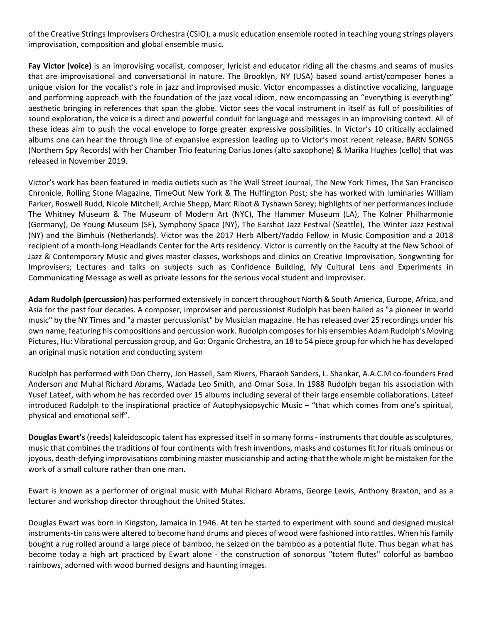of the Creative Strings Improvisers Orchestra (CSIO), a music education ensemble rooted in teaching young strings players improvisation, composition and global ensemble music.

**Fay Victor (voice)** is an improvising vocalist, composer, lyricist and educator riding all the chasms and seams of musics that are improvisational and conversational in nature. The Brooklyn, NY (USA) based sound artist/composer hones a unique vision for the vocalist's role in jazz and improvised music. Victor encompasses a distinctive vocalizing, language and performing approach with the foundation of the jazz vocal idiom, now encompassing an "everything is everything" aesthetic bringing in references that span the globe. Victor sees the vocal instrument in itself as full of possibilities of sound exploration, the voice is a direct and powerful conduit for language and messages in an improvising context. All of these ideas aim to push the vocal envelope to forge greater expressive possibilities. In Victor's 10 critically acclaimed albums one can hear the through line of expansive expression leading up to Victor's most recent release, BARN SONGS (Northern Spy Records) with her Chamber Trio featuring Darius Jones (alto saxophone) & Marika Hughes (cello) that was released in November 2019.

Victor's work has been featured in media outlets such as The Wall Street Journal, The New York Times, The San Francisco Chronicle, Rolling Stone Magazine, TimeOut New York & The Huffington Post; she has worked with luminaries William Parker, Roswell Rudd, Nicole Mitchell, Archie Shepp, Marc Ribot & Tyshawn Sorey; highlights of her performances include The Whitney Museum & The Museum of Modern Art (NYC), The Hammer Museum (LA), The Kolner Philharmonie (Germany), De Young Museum (SF), Symphony Space (NY), The Earshot Jazz Festival (Seattle), The Winter Jazz Festival (NY) and the Bimhuis (Netherlands). Victor was the 2017 Herb Albert/Yaddo Fellow in Music Composition and a 2018 recipient of a month‐long Headlands Center for the Arts residency. Victor is currently on the Faculty at the New School of Jazz & Contemporary Music and gives master classes, workshops and clinics on Creative Improvisation, Songwriting for Improvisers; Lectures and talks on subjects such as Confidence Building, My Cultural Lens and Experiments in Communicating Message as well as private lessons for the serious vocal student and improviser.

**Adam Rudolph (percussion)** has performed extensively in concert throughout North & South America, Europe, Africa, and Asia for the past four decades. A composer, improviser and percussionist Rudolph has been hailed as "a pioneer in world music" by the NY Times and "a master percussionist" by Musician magazine. He has released over 25 recordings under his own name, featuring his compositions and percussion work. Rudolph composesfor his ensembles Adam Rudolph's Moving Pictures, Hu: Vibrational percussion group, and Go: Organic Orchestra, an 18 to 54 piece group for which he has developed an original music notation and conducting system

Rudolph has performed with Don Cherry, Jon Hassell, Sam Rivers, Pharaoh Sanders, L. Shankar, A.A.C.M co‐founders Fred Anderson and Muhal Richard Abrams, Wadada Leo Smith, and Omar Sosa. In 1988 Rudolph began his association with Yusef Lateef, with whom he has recorded over 15 albums including several of their large ensemble collaborations. Lateef introduced Rudolph to the inspirational practice of Autophysiopsychic Music – "that which comes from one's spiritual, physical and emotional self".

**Douglas Ewart's** (reeds) kaleidoscopic talent has expressed itself in so many forms - instruments that double as sculptures, music that combines the traditions of four continents with fresh inventions, masks and costumes fit for rituals ominous or joyous, death-defying improvisations combining master musicianship and acting-that the whole might be mistaken for the work of a small culture rather than one man.

Ewart is known as a performer of original music with Muhal Richard Abrams, George Lewis, Anthony Braxton, and as a lecturer and workshop director throughout the United States.

Douglas Ewart was born in Kingston, Jamaica in 1946. At ten he started to experiment with sound and designed musical instruments-tin cans were altered to become hand drums and pieces of wood were fashioned into rattles. When his family bought a rug rolled around a large piece of bamboo, he seized on the bamboo as a potential flute. Thus began what has become today a high art practiced by Ewart alone ‐ the construction of sonorous "totem flutes" colorful as bamboo rainbows, adorned with wood burned designs and haunting images.